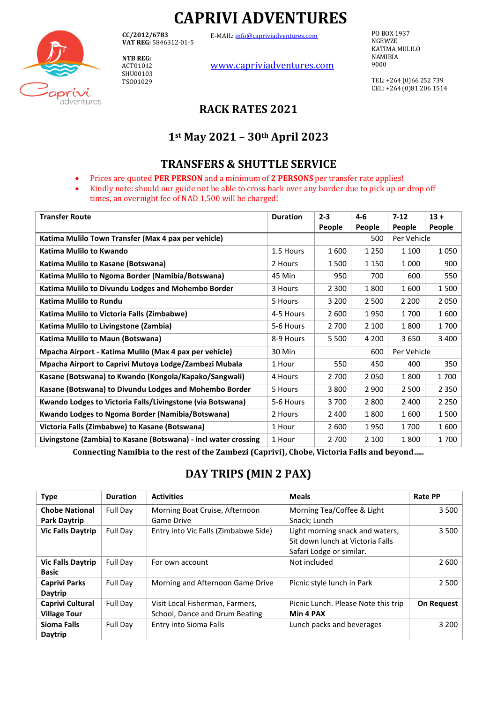# **CAPRIVI ADVENTURES**

E-MAIL[: info@capriviadventures.com](mailto:info@capriviadventures.com)

**CC/2012/6783 VAT REG:** 5846312-01-5

**NTB REG:**  ACT01012 SHU00103 TSO01029

aprivi adventures [www.capriviadventures.com](http://www.capriviadventures.com/)

PO BOX 1937 NGEWZE KATIMA MULILO NAMIBIA 9000

TEL: +264 (0)66 252 739 CEL: +264 (0)81 206 1514

# **RACK RATES 2021**

# **1st May 2021 – 30th April 2023**

### **TRANSFERS & SHUTTLE SERVICE**

- Prices are quoted **PER PERSON** and a minimum of **2 PERSONS** per transfer rate applies!
- Kindly note: should our guide not be able to cross back over any border due to pick up or drop off times, an overnight fee of NAD 1,500 will be charged!

| <b>Transfer Route</b>                                           | <b>Duration</b> | $2 - 3$            | $4 - 6$ | $7-12$  | $13 +$  |
|-----------------------------------------------------------------|-----------------|--------------------|---------|---------|---------|
|                                                                 |                 | People             | People  | People  | People  |
| Katima Mulilo Town Transfer (Max 4 pax per vehicle)             |                 | Per Vehicle<br>500 |         |         |         |
| Katima Mulilo to Kwando                                         | 1.5 Hours       | 1600               | 1 2 5 0 | 1 1 0 0 | 1050    |
| Katima Mulilo to Kasane (Botswana)                              | 2 Hours         | 1500               | 1 1 5 0 | 1 0 0 0 | 900     |
| Katima Mulilo to Ngoma Border (Namibia/Botswana)                | 45 Min          | 950                | 700     | 600     | 550     |
| Katima Mulilo to Divundu Lodges and Mohembo Border              | 3 Hours         | 2 3 0 0            | 1800    | 1600    | 1500    |
| Katima Mulilo to Rundu                                          | 5 Hours         | 3 2 0 0            | 2 500   | 2 2 0 0 | 2050    |
| Katima Mulilo to Victoria Falls (Zimbabwe)                      | 4-5 Hours       | 2 600              | 1950    | 1700    | 1600    |
| Katima Mulilo to Livingstone (Zambia)                           | 5-6 Hours       | 2 700              | 2 100   | 1800    | 1700    |
| Katima Mulilo to Maun (Botswana)                                | 8-9 Hours       | 5 5 0 0            | 4 200   | 3650    | 3 4 0 0 |
| Mpacha Airport - Katima Mulilo (Max 4 pax per vehicle)          | 30 Min          | Per Vehicle<br>600 |         |         |         |
| Mpacha Airport to Caprivi Mutoya Lodge/Zambezi Mubala           | 1 Hour          | 550                | 450     | 400     | 350     |
| Kasane (Botswana) to Kwando (Kongola/Kapako/Sangwali)           | 4 Hours         | 2 700              | 2050    | 1800    | 1700    |
| Kasane (Botswana) to Divundu Lodges and Mohembo Border          | 5 Hours         | 3800               | 2 9 0 0 | 2 500   | 2 3 5 0 |
| Kwando Lodges to Victoria Falls/Livingstone (via Botswana)      | 5-6 Hours       | 3700               | 2 8 0 0 | 2 4 0 0 | 2 2 5 0 |
| Kwando Lodges to Ngoma Border (Namibia/Botswana)                | 2 Hours         | 2 400              | 1800    | 1600    | 1500    |
| Victoria Falls (Zimbabwe) to Kasane (Botswana)                  | 1 Hour          | 2 600              | 1950    | 1700    | 1600    |
| Livingstone (Zambia) to Kasane (Botswana) - incl water crossing | 1 Hour          | 2 700              | 2 100   | 1800    | 1700    |

**Connecting Namibia to the rest of the Zambezi (Caprivi), Chobe, Victoria Falls and beyond…..**

# **DAY TRIPS (MIN 2 PAX)**

| <b>Type</b>                                  | <b>Duration</b> | <b>Activities</b>                                                 | <b>Meals</b>                                                                                    | <b>Rate PP</b>    |
|----------------------------------------------|-----------------|-------------------------------------------------------------------|-------------------------------------------------------------------------------------------------|-------------------|
| <b>Chobe National</b><br><b>Park Daytrip</b> | Full Day        | Morning Boat Cruise, Afternoon<br>Game Drive                      | Morning Tea/Coffee & Light<br>Snack; Lunch                                                      | 3 500             |
| <b>Vic Falls Daytrip</b>                     | Full Day        | Entry into Vic Falls (Zimbabwe Side)                              | Light morning snack and waters,<br>Sit down lunch at Victoria Falls<br>Safari Lodge or similar. | 3 500             |
| <b>Vic Falls Daytrip</b><br><b>Basic</b>     | Full Day        | For own account                                                   | Not included                                                                                    | 2 600             |
| <b>Caprivi Parks</b><br>Daytrip              | Full Day        | Morning and Afternoon Game Drive                                  | Picnic style lunch in Park                                                                      | 2 500             |
| Caprivi Cultural<br><b>Village Tour</b>      | Full Day        | Visit Local Fisherman, Farmers,<br>School, Dance and Drum Beating | Picnic Lunch. Please Note this trip<br>Min 4 PAX                                                | <b>On Request</b> |
| Sioma Falls<br>Daytrip                       | Full Day        | Entry into Sioma Falls                                            | Lunch packs and beverages                                                                       | 3 2 0 0           |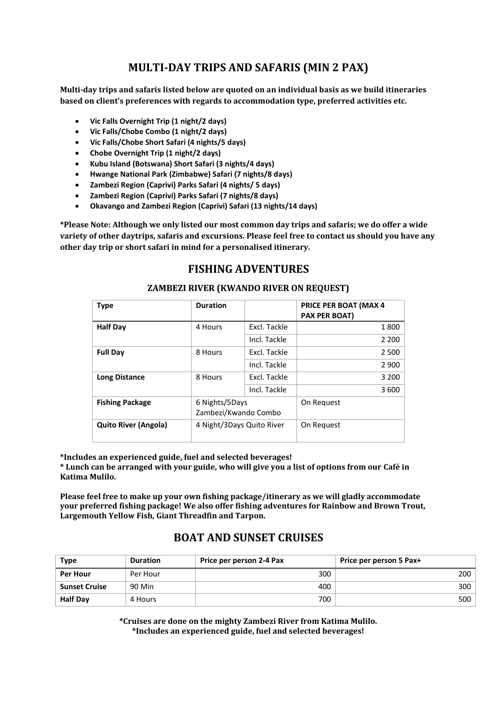# **MULTI-DAY TRIPS AND SAFARIS (MIN 2 PAX)**

**Multi-day trips and safaris listed below are quoted on an individual basis as we build itineraries based on client's preferences with regards to accommodation type, preferred activities etc.**

- **Vic Falls Overnight Trip (1 night/2 days)**
- **Vic Falls/Chobe Combo (1 night/2 days)**
- **Vic Falls/Chobe Short Safari (4 nights/5 days)**
- **Chobe Overnight Trip (1 night/2 days)**
- **Kubu Island (Botswana) Short Safari (3 nights/4 days)**
- **Hwange National Park (Zimbabwe) Safari (7 nights/8 days)**
- **Zambezi Region (Caprivi) Parks Safari (4 nights/ 5 days)**
- **Zambezi Region (Caprivi) Parks Safari (7 nights/8 days)**
- **Okavango and Zambezi Region (Caprivi) Safari (13 nights/14 days)**

**\*Please Note: Although we only listed our most common day trips and safaris; we do offer a wide variety of other daytrips, safaris and excursions. Please feel free to contact us should you have any other day trip or short safari in mind for a personalised itinerary.** 

## **FISHING ADVENTURES**

#### **ZAMBEZI RIVER (KWANDO RIVER ON REQUEST)**

| <b>Type</b>                 | <b>Duration</b>                        |              | <b>PRICE PER BOAT (MAX 4</b><br><b>PAX PER BOAT)</b> |
|-----------------------------|----------------------------------------|--------------|------------------------------------------------------|
| <b>Half Day</b>             | 4 Hours                                | Excl. Tackle | 1800                                                 |
|                             |                                        | Incl. Tackle | 2 2 0 0                                              |
| <b>Full Dav</b>             | 8 Hours                                | Excl. Tackle | 2 500                                                |
|                             |                                        | Incl. Tackle | 2 9 0 0                                              |
| <b>Long Distance</b>        | 8 Hours                                | Excl. Tackle | 3 200                                                |
|                             |                                        | Incl. Tackle | 3600                                                 |
| <b>Fishing Package</b>      | 6 Nights/5Days<br>Zambezi/Kwando Combo |              | On Request                                           |
| <b>Quito River (Angola)</b> | 4 Night/3Days Quito River              |              | On Request                                           |

**\*Includes an experienced guide, fuel and selected beverages!**

**\* Lunch can be arranged with your guide, who will give you a list of options from our Café in Katima Mulilo.** 

**Please feel free to make up your own fishing package/itinerary as we will gladly accommodate your preferred fishing package! We also offer fishing adventures for Rainbow and Brown Trout, Largemouth Yellow Fish, Giant Threadfin and Tarpon.** 

## **BOAT AND SUNSET CRUISES**

| <b>Type</b>          | <b>Duration</b> | Price per person 2-4 Pax | Price per person 5 Pax+ |
|----------------------|-----------------|--------------------------|-------------------------|
| Per Hour             | Per Hour        | 300                      | 200                     |
| <b>Sunset Cruise</b> | 90 Min          | 400                      | 300                     |
| <b>Half Day</b>      | 4 Hours         | 700                      | 500                     |

**\*Cruises are done on the mighty Zambezi River from Katima Mulilo. \*Includes an experienced guide, fuel and selected beverages!**